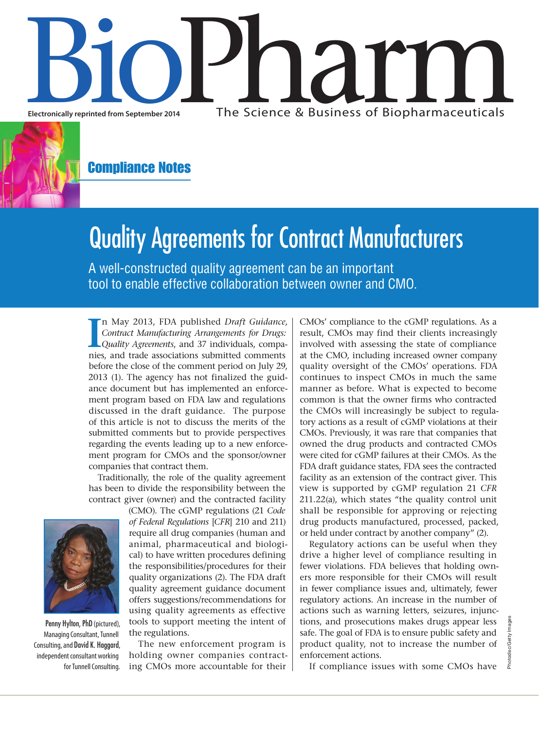

Compliance Notes

# Quality Agreements for Contract Manufacturers

A well-constructed quality agreement can be an important tool to enable effective collaboration between owner and CMO.

II m May 2013, FDA published *Draft Guidance, Contract Manufacturing Arrangements for Drugs:* Quality Agreements, and 37 individuals, companies, and trade associations submitted comments n May 2013, FDA published *Draft Guidance, Contract Manufacturing Arrangements for Drugs: Quality Agreements*, and 37 individuals, compabefore the close of the comment period on July 29, 2013 (1). The agency has not finalized the guidance document but has implemented an enforcement program based on FDA law and regulations discussed in the draft guidance. The purpose of this article is not to discuss the merits of the submitted comments but to provide perspectives regarding the events leading up to a new enforcement program for CMOs and the sponsor/owner companies that contract them.

Traditionally, the role of the quality agreement has been to divide the responsibility between the contract giver (owner) and the contracted facility



Penny Hylton, PhD (pictured), Managing Consultant, Tunnell Consulting, and David K. Haggard, independent consultant working for Tunnell Consulting.

*of Federal Regulations* [*CFR*] 210 and 211) require all drug companies (human and animal, pharmaceutical and biological) to have written procedures defining the responsibilities/procedures for their quality organizations (2). The FDA draft quality agreement guidance document offers suggestions/recommendations for using quality agreements as effective tools to support meeting the intent of the regulations.

(CMO). The cGMP regulations (21 *Code* 

The new enforcement program is holding owner companies contracting CMOs more accountable for their CMOs' compliance to the cGMP regulations. As a result, CMOs may find their clients increasingly involved with assessing the state of compliance at the CMO, including increased owner company quality oversight of the CMOs' operations. FDA continues to inspect CMOs in much the same manner as before. What is expected to become common is that the owner firms who contracted the CMOs will increasingly be subject to regulatory actions as a result of cGMP violations at their CMOs. Previously, it was rare that companies that owned the drug products and contracted CMOs were cited for cGMP failures at their CMOs. As the FDA draft guidance states, FDA sees the contracted facility as an extension of the contract giver. This view is supported by cGMP regulation 21 *CFR* 211.22(a), which states "the quality control unit shall be responsible for approving or rejecting drug products manufactured, processed, packed, or held under contract by another company" (2).

Regulatory actions can be useful when they drive a higher level of compliance resulting in fewer violations. FDA believes that holding owners more responsible for their CMOs will result in fewer compliance issues and, ultimately, fewer regulatory actions. An increase in the number of actions such as warning letters, seizures, injunctions, and prosecutions makes drugs appear less safe. The goal of FDA is to ensure public safety and product quality, not to increase the number of enforcement actions.

If compliance issues with some CMOs have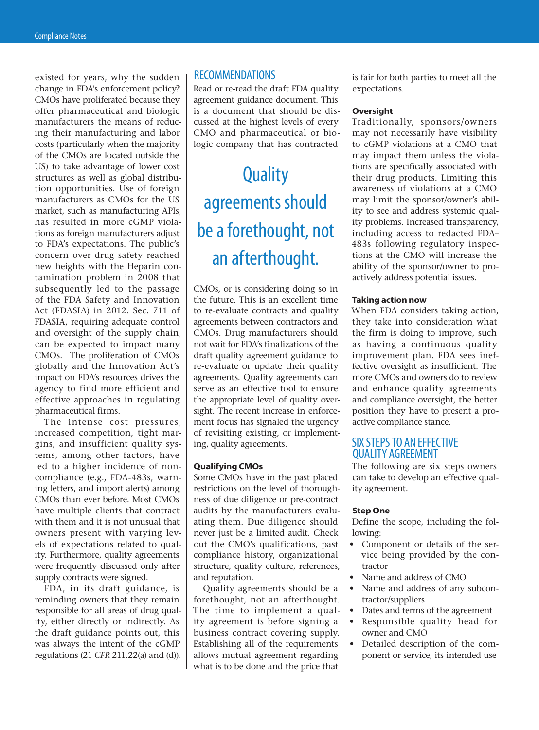existed for years, why the sudden change in FDA's enforcement policy? CMOs have proliferated because they offer pharmaceutical and biologic manufacturers the means of reducing their manufacturing and labor costs (particularly when the majority of the CMOs are located outside the US) to take advantage of lower cost structures as well as global distribution opportunities. Use of foreign manufacturers as CMOs for the US market, such as manufacturing APIs, has resulted in more cGMP violations as foreign manufacturers adjust to FDA's expectations. The public's concern over drug safety reached new heights with the Heparin contamination problem in 2008 that subsequently led to the passage of the FDA Safety and Innovation Act (FDASIA) in 2012. Sec. 711 of FDASIA, requiring adequate control and oversight of the supply chain, can be expected to impact many CMOs. The proliferation of CMOs globally and the Innovation Act's impact on FDA's resources drives the agency to find more efficient and effective approaches in regulating pharmaceutical firms.

The intense cost pressures, increased competition, tight margins, and insufficient quality systems, among other factors, have led to a higher incidence of noncompliance (e.g., FDA-483s, warning letters, and import alerts) among CMOs than ever before. Most CMOs have multiple clients that contract with them and it is not unusual that owners present with varying levels of expectations related to quality. Furthermore, quality agreements were frequently discussed only after supply contracts were signed.

FDA, in its draft guidance, is reminding owners that they remain responsible for all areas of drug quality, either directly or indirectly. As the draft guidance points out, this was always the intent of the cGMP regulations (21 *CFR* 211.22(a) and (d)).

## RECOMMENDATIONS

Read or re-read the draft FDA quality agreement guidance document. This is a document that should be discussed at the highest levels of every CMO and pharmaceutical or biologic company that has contracted

# **Quality** agreements should be a forethought, not an afterthought.

CMOs, or is considering doing so in the future. This is an excellent time to re-evaluate contracts and quality agreements between contractors and CMOs. Drug manufacturers should not wait for FDA's finalizations of the draft quality agreement guidance to re-evaluate or update their quality agreements. Quality agreements can serve as an effective tool to ensure the appropriate level of quality oversight. The recent increase in enforcement focus has signaled the urgency of revisiting existing, or implementing, quality agreements.

### **Qualifying CMOs**

Some CMOs have in the past placed restrictions on the level of thoroughness of due diligence or pre-contract audits by the manufacturers evaluating them. Due diligence should never just be a limited audit. Check out the CMO's qualifications, past compliance history, organizational structure, quality culture, references, and reputation.

Quality agreements should be a forethought, not an afterthought. The time to implement a quality agreement is before signing a business contract covering supply. Establishing all of the requirements allows mutual agreement regarding what is to be done and the price that

is fair for both parties to meet all the expectations.

### **Oversight**

Traditionally, sponsors/owners may not necessarily have visibility to cGMP violations at a CMO that may impact them unless the violations are specifically associated with their drug products. Limiting this awareness of violations at a CMO may limit the sponsor/owner's ability to see and address systemic quality problems. Increased transparency, including access to redacted FDA– 483s following regulatory inspections at the CMO will increase the ability of the sponsor/owner to proactively address potential issues.

#### **Taking action now**

When FDA considers taking action, they take into consideration what the firm is doing to improve, such as having a continuous quality improvement plan. FDA sees ineffective oversight as insufficient. The more CMOs and owners do to review and enhance quality agreements and compliance oversight, the better position they have to present a proactive compliance stance.

# SIX STEPS TO AN EFFECTIVE QUALITY AGREEMENT

The following are six steps owners can take to develop an effective quality agreement.

#### **Step One**

Define the scope, including the following:

- Component or details of the service being provided by the contractor
- Name and address of CMO
- Name and address of any subcontractor/suppliers
- Dates and terms of the agreement
- Responsible quality head for owner and CMO
- Detailed description of the component or service, its intended use